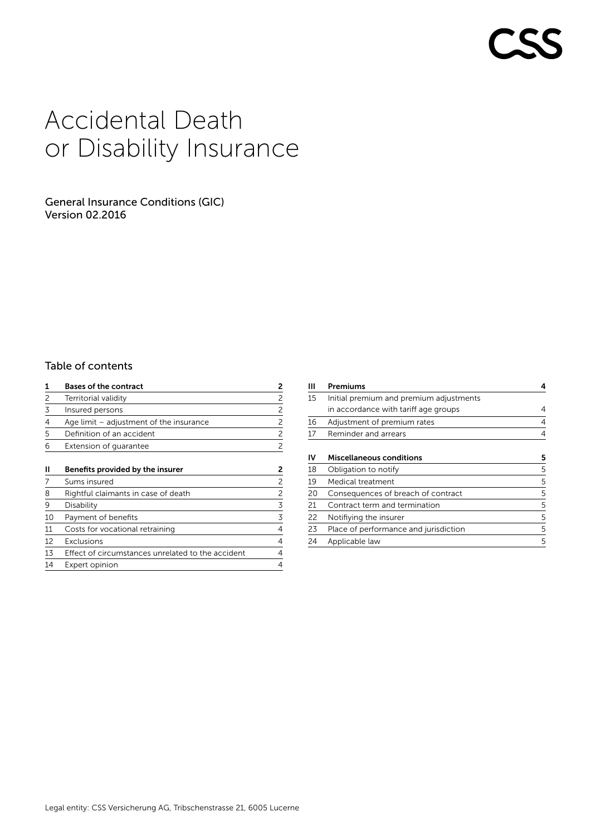# Accidental Death or Disability Insurance

# General Insurance Conditions (GIC) Version 02.2016

# Table of contents

| 1  | <b>Bases of the contract</b>                      | 2 |  |
|----|---------------------------------------------------|---|--|
| 2  | Territorial validity                              | 2 |  |
| 3  | Insured persons                                   | 2 |  |
| 4  | Age limit $-$ adjustment of the insurance         |   |  |
| 5  | Definition of an accident                         | 2 |  |
| 6  | Extension of quarantee                            | 2 |  |
| Ш  | Benefits provided by the insurer                  | 2 |  |
| 7  | Sums insured                                      | 2 |  |
| 8  | Rightful claimants in case of death               | 2 |  |
| 9  | Disability                                        | 3 |  |
| 10 | Payment of benefits                               | 3 |  |
| 11 | Costs for vocational retraining                   | 4 |  |
| 12 | Exclusions                                        | 4 |  |
| 13 | Effect of circumstances unrelated to the accident | 4 |  |

14 Expert opinion 4

| Ш  | Premiums                                | 4 |
|----|-----------------------------------------|---|
| 15 | Initial premium and premium adjustments |   |
|    | in accordance with tariff age groups    | 4 |
| 16 | Adjustment of premium rates             | 4 |
| 17 | Reminder and arrears                    | 4 |
|    |                                         |   |
| ιv | Miscellaneous conditions                | 5 |
| 18 | Obligation to notify                    | 5 |
| 19 | Medical treatment                       | 5 |
| 20 | Consequences of breach of contract      | 5 |
| 21 | Contract term and termination           | 5 |
| 22 | Notifiying the insurer                  | 5 |
| 23 | Place of performance and jurisdiction   | 5 |
| 24 | Applicable law                          | 5 |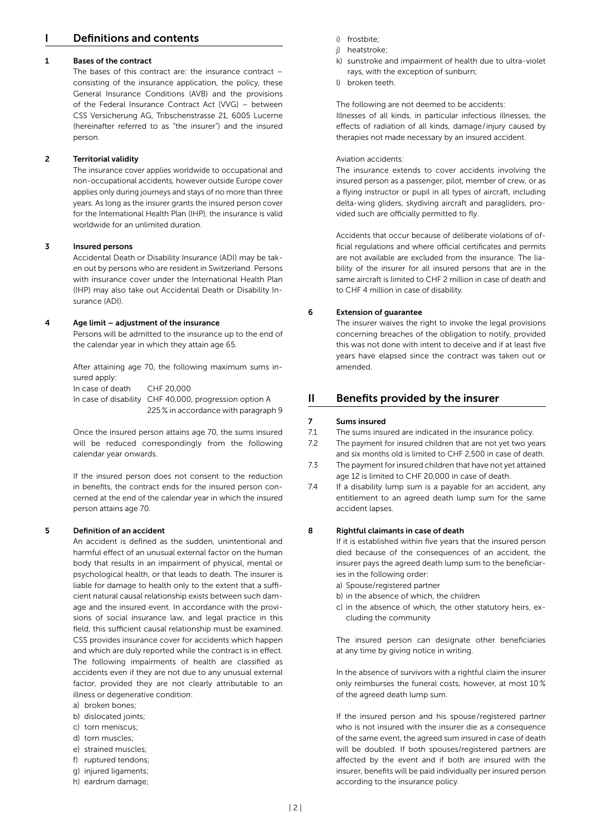# I Definitions and contents

# 1 Bases of the contract

The bases of this contract are: the insurance contract – consisting of the insurance application, the policy, these General Insurance Conditions (AVB) and the provisions of the Federal Insurance Contract Act (VVG) – between CSS Versicherung AG, Tribschenstrasse 21, 6005 Lucerne (hereinafter referred to as "the insurer") and the insured person.

# 2 Territorial validity

The insurance cover applies worldwide to occupational and non-occupational accidents, however outside Europe cover applies only during journeys and stays of no more than three years. As long as the insurer grants the insured person cover for the International Health Plan (IHP), the insurance is valid worldwide for an unlimited duration.

# 3 Insured persons

Accidental Death or Disability Insurance (ADI) may be taken out by persons who are resident in Switzerland. Persons with insurance cover under the International Health Plan (IHP) may also take out Accidental Death or Disability Insurance (ADI).

# 4 Age limit – adjustment of the insurance

Persons will be admitted to the insurance up to the end of the calendar year in which they attain age 65.

After attaining age 70, the following maximum sums insured apply:

In case of death CHF 20,000 In case of disability CHF 40,000, progression option A 225 % in accordance with paragraph 9

Once the insured person attains age 70, the sums insured will be reduced correspondingly from the following calendar year onwards.

If the insured person does not consent to the reduction in benefits, the contract ends for the insured person concerned at the end of the calendar year in which the insured person attains age 70.

# 5 Definition of an accident

An accident is defined as the sudden, unintentional and harmful effect of an unusual external factor on the human body that results in an impairment of physical, mental or psychological health, or that leads to death. The insurer is liable for damage to health only to the extent that a sufficient natural causal relationship exists between such damage and the insured event. In accordance with the provisions of social insurance law, and legal practice in this field, this sufficient causal relationship must be examined. CSS provides insurance cover for accidents which happen and which are duly reported while the contract is in effect. The following impairments of health are classified as accidents even if they are not due to any unusual external factor, provided they are not clearly attributable to an illness or degenerative condition:

- a) broken bones;
- b) dislocated joints;
- c) torn meniscus;
- d) torn muscles;
- e) strained muscles;
- f) ruptured tendons;
- g) injured ligaments;
- h) eardrum damage;
- i) frostbite;
- j) heatstroke;
- k) sunstroke and impairment of health due to ultra-violet rays, with the exception of sunburn;
- l) broken teeth.

# The following are not deemed to be accidents:

Illnesses of all kinds, in particular infectious illnesses, the effects of radiation of all kinds, damage/injury caused by therapies not made necessary by an insured accident.

# Aviation accidents:

The insurance extends to cover accidents involving the insured person as a passenger, pilot, member of crew, or as a flying instructor or pupil in all types of aircraft, including delta-wing gliders, skydiving aircraft and paragliders, provided such are officially permitted to fly.

Accidents that occur because of deliberate violations of official regulations and where official certificates and permits are not available are excluded from the insurance. The liability of the insurer for all insured persons that are in the same aircraft is limited to CHF 2 million in case of death and to CHF 4 million in case of disability.

# 6 Extension of guarantee

The insurer waives the right to invoke the legal provisions concerning breaches of the obligation to notify, provided this was not done with intent to deceive and if at least five years have elapsed since the contract was taken out or amended.

# II Benefits provided by the insurer

# 7 Sums insured

- 7.1 The sums insured are indicated in the insurance policy.
- 7.2 The payment for insured children that are not yet two years and six months old is limited to CHF 2,500 in case of death.
- 7.3 The payment for insured children that have not yet attained age 12 is limited to CHF 20,000 in case of death.
- 7.4 If a disability lump sum is a payable for an accident, any entitlement to an agreed death lump sum for the same accident lapses.

# 8 Rightful claimants in case of death

If it is established within five years that the insured person died because of the consequences of an accident, the insurer pays the agreed death lump sum to the beneficiaries in the following order:

- a) Spouse/registered partner
- b) in the absence of which, the children
- c) in the absence of which, the other statutory heirs, excluding the community

The insured person can designate other beneficiaries at any time by giving notice in writing.

In the absence of survivors with a rightful claim the insurer only reimburses the funeral costs, however, at most 10 % of the agreed death lump sum.

If the insured person and his spouse/registered partner who is not insured with the insurer die as a consequence of the same event, the agreed sum insured in case of death will be doubled. If both spouses/registered partners are affected by the event and if both are insured with the insurer, benefits will be paid individually per insured person according to the insurance policy.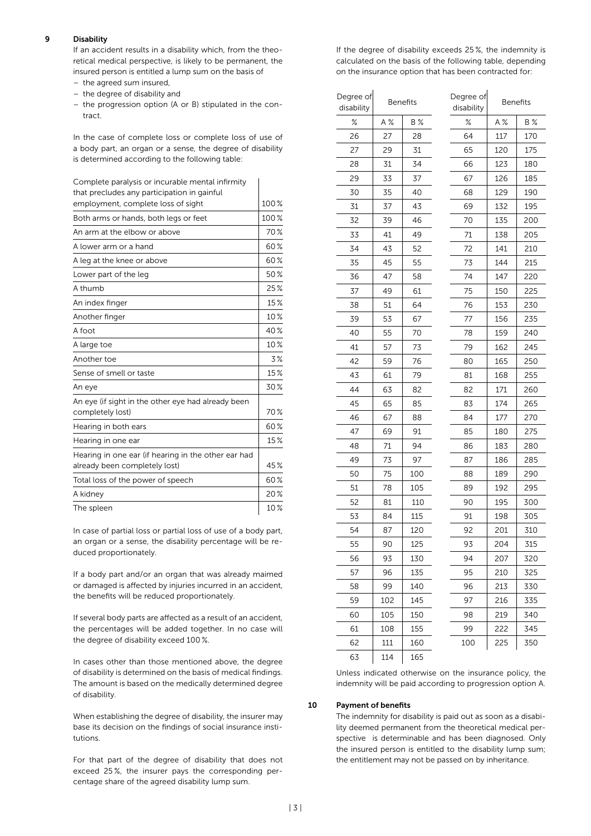# 9 Disability

If an accident results in a disability which, from the theoretical medical perspective, is likely to be permanent, the insured person is entitled a lump sum on the basis of

- the agreed sum insured,
- the degree of disability and
- the progression option (A or B) stipulated in the contract.

In the case of complete loss or complete loss of use of a body part, an organ or a sense, the degree of disability is determined according to the following table:

| Complete paralysis or incurable mental infirmity                                     |      |
|--------------------------------------------------------------------------------------|------|
| that precludes any participation in gainful                                          |      |
| employment, complete loss of sight                                                   | 100% |
| Both arms or hands, both legs or feet                                                | 100% |
| An arm at the elbow or above                                                         | 70%  |
| A lower arm or a hand                                                                | 60%  |
| A leg at the knee or above                                                           | 60%  |
| Lower part of the leg                                                                | 50%  |
| A thumb                                                                              | 25%  |
| An index finger                                                                      | 15%  |
| Another finger                                                                       | 10%  |
| A foot                                                                               | 40%  |
| A large toe                                                                          | 10%  |
| Another toe                                                                          | 3%   |
| Sense of smell or taste                                                              | 15%  |
| An eye                                                                               | 30%  |
| An eye (if sight in the other eye had already been<br>completely lost)               | 70%  |
| Hearing in both ears                                                                 | 60%  |
| Hearing in one ear                                                                   | 15%  |
| Hearing in one ear (if hearing in the other ear had<br>already been completely lost) | 45%  |
| Total loss of the power of speech                                                    | 60%  |
| A kidney                                                                             | 20%  |
| The spleen                                                                           | 10%  |

In case of partial loss or partial loss of use of a body part, an organ or a sense, the disability percentage will be reduced proportionately.

If a body part and/or an organ that was already maimed or damaged is affected by injuries incurred in an accident, the benefits will be reduced proportionately.

If several body parts are affected as a result of an accident, the percentages will be added together. In no case will the degree of disability exceed 100 %.

In cases other than those mentioned above, the degree of disability is determined on the basis of medical findings. The amount is based on the medically determined degree of disability.

When establishing the degree of disability, the insurer may base its decision on the findings of social insurance institutions.

For that part of the degree of disability that does not exceed 25  %, the insurer pays the corresponding percentage share of the agreed disability lump sum.

If the degree of disability exceeds 25 %, the indemnity is calculated on the basis of the following table, depending on the insurance option that has been contracted for:

| Degree of<br>disability | <b>Benefits</b> |            | Degree of<br>disability | <b>Benefits</b> |     |
|-------------------------|-----------------|------------|-------------------------|-----------------|-----|
| ℅                       | A %             | <b>B</b> % | ℅                       | A %             | B % |
| 26                      | 27              | 28         | 64                      | 117             | 170 |
| 27                      | 29              | 31         | 65                      | 120             | 175 |
| 28                      | 31              | 34         | 66                      | 123             | 180 |
| 29                      | 33              | 37         | 67                      | 126             | 185 |
| 30                      | 35              | 40         | 68                      | 129             | 190 |
| 31                      | 37              | 43         | 69                      | 132             | 195 |
| 32                      | 39              | 46         | 70                      | 135             | 200 |
| 33                      | 41              | 49         | 71                      | 138             | 205 |
| 34                      | 43              | 52         | 72                      | 141             | 210 |
| 35                      | 45              | 55         | 73                      | 144             | 215 |
| 36                      | 47              | 58         | 74                      | 147             | 220 |
| 37                      | 49              | 61         | 75                      | 150             | 225 |
| 38                      | 51              | 64         | 76                      | 153             | 230 |
| 39                      | 53              | 67         | 77                      | 156             | 235 |
| 40                      | 55              | 70         | 78                      | 159             | 240 |
| 41                      | 57              | 73         | 79                      | 162             | 245 |
| 42                      | 59              | 76         | 80                      | 165             | 250 |
| 43                      | 61              | 79         | 81                      | 168             | 255 |
| 44                      | 63              | 82         | 82                      | 171             | 260 |
| 45                      | 65              | 85         | 83                      | 174             | 265 |
| 46                      | 67              | 88         | 84                      | 177             | 270 |
| 47                      | 69              | 91         | 85                      | 180             | 275 |
| 48                      | 71              | 94         | 86                      | 183             | 280 |
| 49                      | 73              | 97         | 87                      | 186             | 285 |
| 50                      | 75              | 100        | 88                      | 189             | 290 |
| 51                      | 78              | 105        | 89                      | 192             | 295 |
| 52                      | 81              | 110        | 90                      | 195             | 300 |
| 53                      | 84              | 115        | 91                      | 198             | 305 |
| 54                      | 87              | 120        | 92                      | 201             | 310 |
| 55                      | 90              | 125        | 93                      | 204             | 315 |
| 56                      | 93              | 130        | 94                      | 207             | 320 |
| 57                      | 96              | 135        | 95                      | 210             | 325 |
| 58                      | 99              | 140        | 96                      | 213             | 330 |
| 59                      | 102             | 145        | 97                      | 216             | 335 |
| 60                      | 105             | 150        | 98                      | 219             | 340 |
| 61                      | 108             | 155        | 99                      | 222             | 345 |
| 62                      | 111             | 160        | 100                     | 225             | 350 |
| 63                      | 114             | 165        |                         |                 |     |

Unless indicated otherwise on the insurance policy, the indemnity will be paid according to progression option A.

# 10 Payment of benefits

The indemnity for disability is paid out as soon as a disability deemed permanent from the theoretical medical perspective is determinable and has been diagnosed. Only the insured person is entitled to the disability lump sum; the entitlement may not be passed on by inheritance.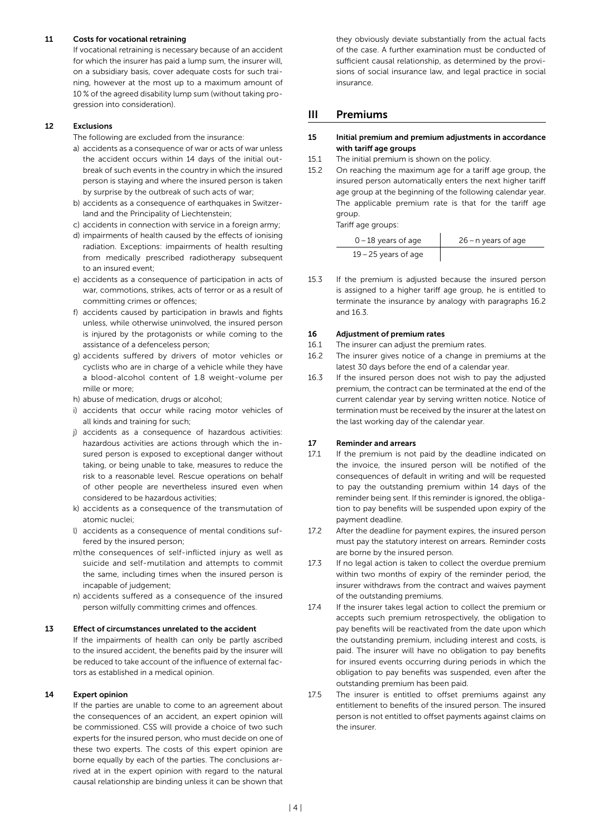# 11 Costs for vocational retraining

If vocational retraining is necessary because of an accident for which the insurer has paid a lump sum, the insurer will, on a subsidiary basis, cover adequate costs for such training, however at the most up to a maximum amount of 10 % of the agreed disability lump sum (without taking progression into consideration).

# 12 Exclusions

- The following are excluded from the insurance:
- a) accidents as a consequence of war or acts of war unless the accident occurs within 14 days of the initial outbreak of such events in the country in which the insured person is staying and where the insured person is taken by surprise by the outbreak of such acts of war;
- b) accidents as a consequence of earthquakes in Switzerland and the Principality of Liechtenstein;
- c) accidents in connection with service in a foreign army;
- d) impairments of health caused by the effects of ionising radiation. Exceptions: impairments of health resulting from medically prescribed radiotherapy subsequent to an insured event;
- e) accidents as a consequence of participation in acts of war, commotions, strikes, acts of terror or as a result of committing crimes or offences;
- f) accidents caused by participation in brawls and fights unless, while otherwise uninvolved, the insured person is injured by the protagonists or while coming to the assistance of a defenceless person;
- g) accidents suffered by drivers of motor vehicles or cyclists who are in charge of a vehicle while they have a blood-alcohol content of 1.8 weight-volume per mille or more;
- h) abuse of medication, drugs or alcohol;
- i) accidents that occur while racing motor vehicles of all kinds and training for such;
- j) accidents as a consequence of hazardous activities: hazardous activities are actions through which the insured person is exposed to exceptional danger without taking, or being unable to take, measures to reduce the risk to a reasonable level. Rescue operations on behalf of other people are nevertheless insured even when considered to be hazardous activities;
- k) accidents as a consequence of the transmutation of atomic nuclei;
- l) accidents as a consequence of mental conditions suffered by the insured person;
- m) the consequences of self-inflicted injury as well as suicide and self-mutilation and attempts to commit the same, including times when the insured person is incapable of judgement;
- n) accidents suffered as a consequence of the insured person wilfully committing crimes and offences.

# 13 Effect of circumstances unrelated to the accident

If the impairments of health can only be partly ascribed to the insured accident, the benefits paid by the insurer will be reduced to take account of the influence of external factors as established in a medical opinion.

# 14 Expert opinion

If the parties are unable to come to an agreement about the consequences of an accident, an expert opinion will be commissioned. CSS will provide a choice of two such experts for the insured person, who must decide on one of these two experts. The costs of this expert opinion are borne equally by each of the parties. The conclusions arrived at in the expert opinion with regard to the natural causal relationship are binding unless it can be shown that

they obviously deviate substantially from the actual facts of the case. A further examination must be conducted of sufficient causal relationship, as determined by the provisions of social insurance law, and legal practice in social insurance.

# III Premiums

# 15 Initial premium and premium adjustments in accordance with tariff age groups

- 15.1 The initial premium is shown on the policy.
- 15.2 On reaching the maximum age for a tariff age group, the insured person automatically enters the next higher tariff age group at the beginning of the following calendar year. The applicable premium rate is that for the tariff age group.

Tariff age groups:

| $0-18$ years of age    | 26 – n years of age |
|------------------------|---------------------|
| $19 - 25$ years of age |                     |

15.3 If the premium is adjusted because the insured person is assigned to a higher tariff age group, he is entitled to terminate the insurance by analogy with paragraphs 16.2 and 16.3.

# 16 Adjustment of premium rates

- 16.1 The insurer can adjust the premium rates.
- 16.2 The insurer gives notice of a change in premiums at the latest 30 days before the end of a calendar year.
- 16.3 If the insured person does not wish to pay the adjusted premium, the contract can be terminated at the end of the current calendar year by serving written notice. Notice of termination must be received by the insurer at the latest on the last working day of the calendar year.

# 17 Reminder and arrears

- 17.1 If the premium is not paid by the deadline indicated on the invoice, the insured person will be notified of the consequences of default in writing and will be requested to pay the outstanding premium within 14 days of the reminder being sent. If this reminder is ignored, the obligation to pay benefits will be suspended upon expiry of the payment deadline.
- 17.2 After the deadline for payment expires, the insured person must pay the statutory interest on arrears. Reminder costs are borne by the insured person.
- 17.3 If no legal action is taken to collect the overdue premium within two months of expiry of the reminder period, the insurer withdraws from the contract and waives payment of the outstanding premiums.
- 17.4 If the insurer takes legal action to collect the premium or accepts such premium retrospectively, the obligation to pay benefits will be reactivated from the date upon which the outstanding premium, including interest and costs, is paid. The insurer will have no obligation to pay benefits for insured events occurring during periods in which the obligation to pay benefits was suspended, even after the outstanding premium has been paid.
- 17.5 The insurer is entitled to offset premiums against any entitlement to benefits of the insured person. The insured person is not entitled to offset payments against claims on the insurer.